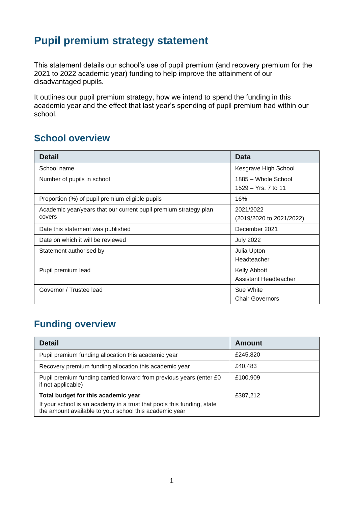## **Pupil premium strategy statement**

This statement details our school's use of pupil premium (and recovery premium for the 2021 to 2022 academic year) funding to help improve the attainment of our disadvantaged pupils.

It outlines our pupil premium strategy, how we intend to spend the funding in this academic year and the effect that last year's spending of pupil premium had within our school.

#### **School overview**

| <b>Detail</b>                                                              | Data                                         |
|----------------------------------------------------------------------------|----------------------------------------------|
| School name                                                                | Kesgrave High School                         |
| Number of pupils in school                                                 | 1885 – Whole School<br>1529 – Yrs. 7 to 11   |
| Proportion (%) of pupil premium eligible pupils                            | 16%                                          |
| Academic year/years that our current pupil premium strategy plan<br>covers | 2021/2022<br>(2019/2020 to 2021/2022)        |
| Date this statement was published                                          | December 2021                                |
| Date on which it will be reviewed                                          | <b>July 2022</b>                             |
| Statement authorised by                                                    | Julia Upton<br>Headteacher                   |
| Pupil premium lead                                                         | <b>Kelly Abbott</b><br>Assistant Headteacher |
| Governor / Trustee lead                                                    | Sue White<br><b>Chair Governors</b>          |

### **Funding overview**

| <b>Detail</b>                                                                                                                    | <b>Amount</b> |
|----------------------------------------------------------------------------------------------------------------------------------|---------------|
| Pupil premium funding allocation this academic year                                                                              | £245,820      |
| Recovery premium funding allocation this academic year                                                                           | £40,483       |
| Pupil premium funding carried forward from previous years (enter £0)<br>if not applicable)                                       | £100,909      |
| Total budget for this academic year                                                                                              | £387,212      |
| If your school is an academy in a trust that pools this funding, state<br>the amount available to your school this academic year |               |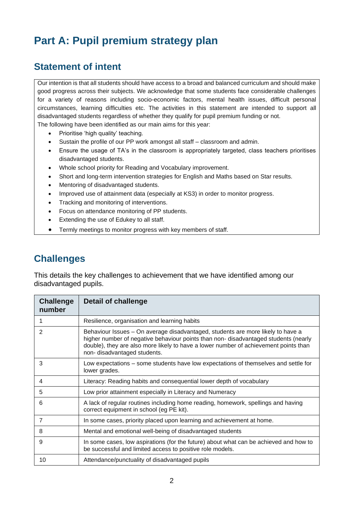# **Part A: Pupil premium strategy plan**

#### **Statement of intent**

Our intention is that all students should have access to a broad and balanced curriculum and should make good progress across their subjects. We acknowledge that some students face considerable challenges for a variety of reasons including socio-economic factors, mental health issues, difficult personal circumstances, learning difficulties etc. The activities in this statement are intended to support all disadvantaged students regardless of whether they qualify for pupil premium funding or not. The following have been identified as our main aims for this year:

- Prioritise 'high quality' teaching.
- Sustain the profile of our PP work amongst all staff classroom and admin.
- Ensure the usage of TA's in the classroom is appropriately targeted, class teachers prioritises disadvantaged students.
- Whole school priority for Reading and Vocabulary improvement.
- Short and long-term intervention strategies for English and Maths based on Star results.
- Mentoring of disadvantaged students.
- Improved use of attainment data (especially at KS3) in order to monitor progress.
- Tracking and monitoring of interventions.
- Focus on attendance monitoring of PP students.
- Extending the use of Edukey to all staff.
- Termly meetings to monitor progress with key members of staff.

#### **Challenges**

This details the key challenges to achievement that we have identified among our disadvantaged pupils.

| <b>Challenge</b><br>number | Detail of challenge                                                                                                                                                                                                                                                                          |
|----------------------------|----------------------------------------------------------------------------------------------------------------------------------------------------------------------------------------------------------------------------------------------------------------------------------------------|
|                            | Resilience, organisation and learning habits                                                                                                                                                                                                                                                 |
| 2                          | Behaviour Issues - On average disadvantaged, students are more likely to have a<br>higher number of negative behaviour points than non-disadvantaged students (nearly<br>double), they are also more likely to have a lower number of achievement points than<br>non-disadvantaged students. |
| 3                          | Low expectations – some students have low expectations of themselves and settle for<br>lower grades.                                                                                                                                                                                         |
| 4                          | Literacy: Reading habits and consequential lower depth of vocabulary                                                                                                                                                                                                                         |
| 5                          | Low prior attainment especially in Literacy and Numeracy                                                                                                                                                                                                                                     |
| 6                          | A lack of regular routines including home reading, homework, spellings and having<br>correct equipment in school (eg PE kit).                                                                                                                                                                |
| 7                          | In some cases, priority placed upon learning and achievement at home.                                                                                                                                                                                                                        |
| 8                          | Mental and emotional well-being of disadvantaged students                                                                                                                                                                                                                                    |
| 9                          | In some cases, low aspirations (for the future) about what can be achieved and how to<br>be successful and limited access to positive role models.                                                                                                                                           |
| 10                         | Attendance/punctuality of disadvantaged pupils                                                                                                                                                                                                                                               |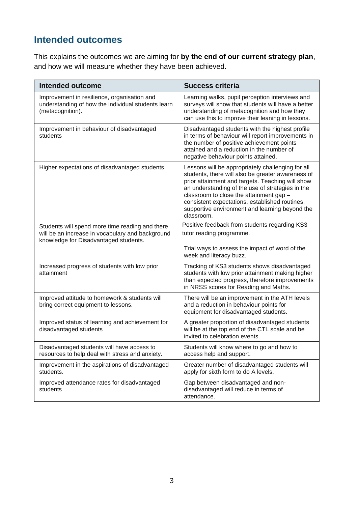## **Intended outcomes**

This explains the outcomes we are aiming for **by the end of our current strategy plan**, and how we will measure whether they have been achieved.

| <b>Intended outcome</b>                                                                                                                      | <b>Success criteria</b>                                                                                                                                                                                                                                                                                                                                                     |
|----------------------------------------------------------------------------------------------------------------------------------------------|-----------------------------------------------------------------------------------------------------------------------------------------------------------------------------------------------------------------------------------------------------------------------------------------------------------------------------------------------------------------------------|
| Improvement in resilience, organisation and<br>understanding of how the individual students learn<br>(metacognition).                        | Learning walks, pupil perception interviews and<br>surveys will show that students will have a better<br>understanding of metacognition and how they<br>can use this to improve their leaning in lessons.                                                                                                                                                                   |
| Improvement in behaviour of disadvantaged<br>students                                                                                        | Disadvantaged students with the highest profile<br>in terms of behaviour will report improvements in<br>the number of positive achievement points<br>attained and a reduction in the number of<br>negative behaviour points attained.                                                                                                                                       |
| Higher expectations of disadvantaged students                                                                                                | Lessons will be appropriately challenging for all<br>students, there will also be greater awareness of<br>prior attainment and targets. Teaching will show<br>an understanding of the use of strategies in the<br>classroom to close the attainment gap -<br>consistent expectations, established routines,<br>supportive environment and learning beyond the<br>classroom. |
| Students will spend more time reading and there<br>will be an increase in vocabulary and background<br>knowledge for Disadvantaged students. | Positive feedback from students regarding KS3<br>tutor reading programme.                                                                                                                                                                                                                                                                                                   |
|                                                                                                                                              | Trial ways to assess the impact of word of the<br>week and literacy buzz.                                                                                                                                                                                                                                                                                                   |
| Increased progress of students with low prior<br>attainment                                                                                  | Tracking of KS3 students shows disadvantaged<br>students with low prior attainment making higher<br>than expected progress, therefore improvements<br>in NRSS scores for Reading and Maths.                                                                                                                                                                                 |
| Improved attitude to homework & students will<br>bring correct equipment to lessons.                                                         | There will be an improvement in the ATH levels<br>and a reduction in behaviour points for<br>equipment for disadvantaged students.                                                                                                                                                                                                                                          |
| Improved status of learning and achievement for<br>disadvantaged students                                                                    | A greater proportion of disadvantaged students<br>will be at the top end of the CTL scale and be<br>invited to celebration events.                                                                                                                                                                                                                                          |
| Disadvantaged students will have access to<br>resources to help deal with stress and anxiety.                                                | Students will know where to go and how to<br>access help and support.                                                                                                                                                                                                                                                                                                       |
| Improvement in the aspirations of disadvantaged<br>students.                                                                                 | Greater number of disadvantaged students will<br>apply for sixth form to do A levels.                                                                                                                                                                                                                                                                                       |
| Improved attendance rates for disadvantaged<br>students                                                                                      | Gap between disadvantaged and non-<br>disadvantaged will reduce in terms of<br>attendance.                                                                                                                                                                                                                                                                                  |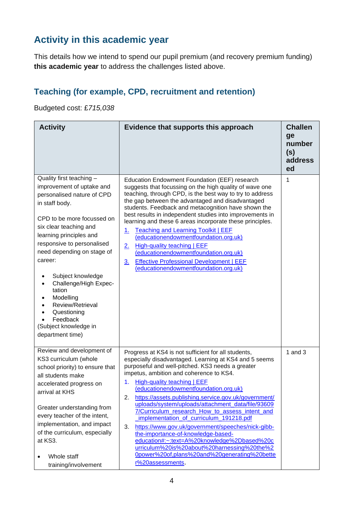## **Activity in this academic year**

This details how we intend to spend our pupil premium (and recovery premium funding) **this academic year** to address the challenges listed above.

#### **Teaching (for example, CPD, recruitment and retention)**

Budgeted cost: £*715,038*

| <b>Activity</b>                                                                                                                                                                                                                                                                                                                                                                                                                  | Evidence that supports this approach                                                                                                                                                                                                                                                                                                                                                                                                                                                                                                                                                                                                                                                                                                                                                | <b>Challen</b><br>ge<br>number<br>(s)<br>address<br>ed |
|----------------------------------------------------------------------------------------------------------------------------------------------------------------------------------------------------------------------------------------------------------------------------------------------------------------------------------------------------------------------------------------------------------------------------------|-------------------------------------------------------------------------------------------------------------------------------------------------------------------------------------------------------------------------------------------------------------------------------------------------------------------------------------------------------------------------------------------------------------------------------------------------------------------------------------------------------------------------------------------------------------------------------------------------------------------------------------------------------------------------------------------------------------------------------------------------------------------------------------|--------------------------------------------------------|
| Quality first teaching -<br>improvement of uptake and<br>personalised nature of CPD<br>in staff body.<br>CPD to be more focussed on<br>six clear teaching and<br>learning principles and<br>responsive to personalised<br>need depending on stage of<br>career:<br>Subject knowledge<br>Challenge/High Expec-<br>tation<br>Modelling<br>Review/Retrieval<br>Questioning<br>Feedback<br>(Subject knowledge in<br>department time) | Education Endowment Foundation (EEF) research<br>suggests that focussing on the high quality of wave one<br>teaching, through CPD, is the best way to try to address<br>the gap between the advantaged and disadvantaged<br>students. Feedback and metacognition have shown the<br>best results in independent studies into improvements in<br>learning and these 6 areas incorporate these principles.<br><b>Teaching and Learning Toolkit   EEF</b><br>1.<br>(educationendowmentfoundation.org.uk)<br><b>High-quality teaching   EEF</b><br>2.<br>(educationendowmentfoundation.org.uk)<br><b>Effective Professional Development   EEF</b><br>3.<br>(educationendowmentfoundation.org.uk)                                                                                         | 1                                                      |
| Review and development of<br>KS3 curriculum (whole<br>school priority) to ensure that<br>all students make<br>accelerated progress on<br>arrival at KHS<br>Greater understanding from<br>every teacher of the intent,<br>implementation, and impact<br>of the curriculum, especially<br>at KS3.<br>Whole staff<br>training/involvement                                                                                           | Progress at KS4 is not sufficient for all students,<br>especially disadvantaged. Learning at KS4 and 5 seems<br>purposeful and well-pitched. KS3 needs a greater<br>impetus, ambition and coherence to KS4.<br><b>High-quality teaching   EEF</b><br>1.<br>(educationendowmentfoundation.org.uk)<br>https://assets.publishing.service.gov.uk/government/<br>2.<br>uploads/system/uploads/attachment_data/file/93609<br>7/Curriculum research How to assess intent and<br>implementation_of_curriculum_191218.pdf<br>3.<br>https://www.gov.uk/government/speeches/nick-gibb-<br>the-importance-of-knowledge-based-<br>education#:~:text=A%20knowledge%2Dbased%20c<br>urriculum%20is%20about%20harnessing%20the%2<br>0power%20of,plans%20and%20generating%20bette<br>r%20assessments. | 1 and $3$                                              |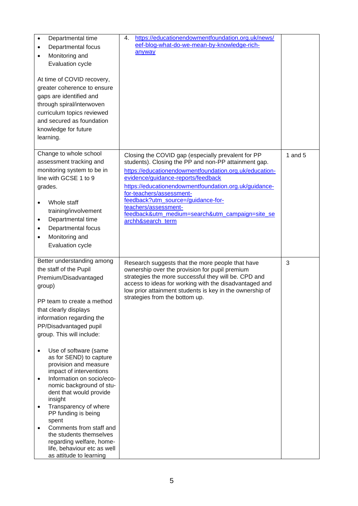| Departmental time<br>Departmental focus<br>٠<br>Monitoring and<br>$\bullet$<br>Evaluation cycle<br>At time of COVID recovery,<br>greater coherence to ensure<br>gaps are identified and<br>through spiral/interwoven<br>curriculum topics reviewed<br>and secured as foundation<br>knowledge for future<br>learning.                                                                                                                                                                                                                                                                                                                                                     | https://educationendowmentfoundation.org.uk/news/<br>4.<br>eef-blog-what-do-we-mean-by-knowledge-rich-<br>anyway                                                                                                                                                                                                                                                                                                                      |           |
|--------------------------------------------------------------------------------------------------------------------------------------------------------------------------------------------------------------------------------------------------------------------------------------------------------------------------------------------------------------------------------------------------------------------------------------------------------------------------------------------------------------------------------------------------------------------------------------------------------------------------------------------------------------------------|---------------------------------------------------------------------------------------------------------------------------------------------------------------------------------------------------------------------------------------------------------------------------------------------------------------------------------------------------------------------------------------------------------------------------------------|-----------|
| Change to whole school<br>assessment tracking and<br>monitoring system to be in<br>line with GCSE 1 to 9<br>grades.<br>Whole staff<br>training/involvement<br>Departmental time<br>٠<br>Departmental focus<br>$\bullet$<br>Monitoring and<br>$\bullet$<br>Evaluation cycle                                                                                                                                                                                                                                                                                                                                                                                               | Closing the COVID gap (especially prevalent for PP<br>students). Closing the PP and non-PP attainment gap.<br>https://educationendowmentfoundation.org.uk/education-<br>evidence/guidance-reports/feedback<br>https://educationendowmentfoundation.org.uk/guidance-<br>for-teachers/assessment-<br>feedback?utm_source=/guidance-for-<br>teachers/assessment-<br>feedback&utm_medium=search&utm_campaign=site_se<br>archh&search_term | 1 and $5$ |
| Better understanding among<br>the staff of the Pupil<br>Premium/Disadvantaged<br>group)<br>PP team to create a method<br>that clearly displays<br>information regarding the<br>PP/Disadvantaged pupil<br>group. This will include:<br>Use of software (same<br>as for SEND) to capture<br>provision and measure<br>impact of interventions<br>Information on socio/eco-<br>$\bullet$<br>nomic background of stu-<br>dent that would provide<br>insight<br>Transparency of where<br>$\bullet$<br>PP funding is being<br>spent<br>Comments from staff and<br>the students themselves<br>regarding welfare, home-<br>life, behaviour etc as well<br>as attitude to learning | Research suggests that the more people that have<br>ownership over the provision for pupil premium<br>strategies the more successful they will be. CPD and<br>access to ideas for working with the disadvantaged and<br>low prior attainment students is key in the ownership of<br>strategies from the bottom up.                                                                                                                    | 3         |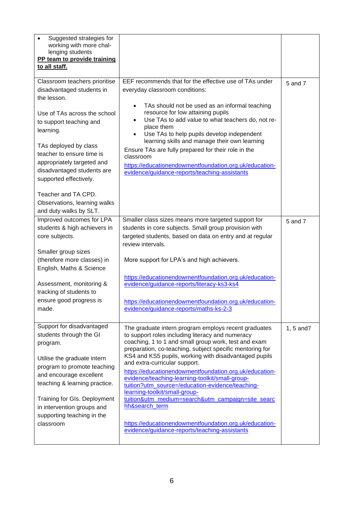| Suggested strategies for<br>working with more chal-<br>lenging students<br>PP team to provide training<br>to all staff.                                                                                                                                                                                                                                                        |                                                                                                                                                                                                                                                                                                                                                                                                                                                                                                                                                                                                                                                                                                            |                |
|--------------------------------------------------------------------------------------------------------------------------------------------------------------------------------------------------------------------------------------------------------------------------------------------------------------------------------------------------------------------------------|------------------------------------------------------------------------------------------------------------------------------------------------------------------------------------------------------------------------------------------------------------------------------------------------------------------------------------------------------------------------------------------------------------------------------------------------------------------------------------------------------------------------------------------------------------------------------------------------------------------------------------------------------------------------------------------------------------|----------------|
| Classroom teachers prioritise<br>disadvantaged students in<br>the lesson.<br>Use of TAs across the school<br>to support teaching and<br>learning.<br>TAs deployed by class<br>teacher to ensure time is<br>appropriately targeted and<br>disadvantaged students are<br>supported effectively.<br>Teacher and TA CPD.<br>Observations, learning walks<br>and duty walks by SLT. | EEF recommends that for the effective use of TAs under<br>everyday classroom conditions:<br>TAs should not be used as an informal teaching<br>resource for low attaining pupils<br>Use TAs to add value to what teachers do, not re-<br>place them<br>Use TAs to help pupils develop independent<br>learning skills and manage their own learning<br>Ensure TAs are fully prepared for their role in the<br>classroom<br>https://educationendowmentfoundation.org.uk/education-<br>evidence/guidance-reports/teaching-assistants                                                                                                                                                                           | 5 and 7        |
| Improved outcomes for LPA<br>students & high achievers in<br>core subjects.<br>Smaller group sizes<br>(therefore more classes) in<br>English, Maths & Science<br>Assessment, monitoring &<br>tracking of students to<br>ensure good progress is<br>made.                                                                                                                       | Smaller class sizes means more targeted support for<br>students in core subjects. Small group provision with<br>targeted students, based on data on entry and at regular<br>review intervals.<br>More support for LPA's and high achievers.<br>https://educationendowmentfoundation.org.uk/education-<br>evidence/guidance-reports/literacy-ks3-ks4<br>https://educationendowmentfoundation.org.uk/education-<br>evidence/guidance-reports/maths-ks-2-3                                                                                                                                                                                                                                                    | 5 and 7        |
| Support for disadvantaged<br>students through the GI<br>program.<br>Utilise the graduate intern<br>program to promote teaching<br>and encourage excellent<br>teaching & learning practice.<br>Training for GIs. Deployment<br>in intervention groups and<br>supporting teaching in the<br>classroom                                                                            | The graduate intern program employs recent graduates<br>to support roles including literacy and numeracy<br>coaching, 1 to 1 and small group work, test and exam<br>preparation, co-teaching, subject specific mentoring for<br>KS4 and KS5 pupils, working with disadvantaged pupils<br>and extra-curricular support.<br>https://educationendowmentfoundation.org.uk/education-<br>evidence/teaching-learning-toolkit/small-group-<br>tuition?utm_source=/education-evidence/teaching-<br>learning-toolkit/small-group-<br>tuition&utm_medium=search&utm_campaign=site_searc<br>hh&search term<br>https://educationendowmentfoundation.org.uk/education-<br>evidence/guidance-reports/teaching-assistants | $1, 5$ and $7$ |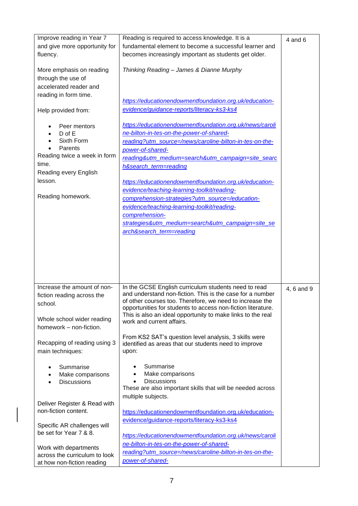| Improve reading in Year 7<br>and give more opportunity for<br>fluency.<br>More emphasis on reading<br>through the use of<br>accelerated reader and<br>reading in form time.                                                                                                                                                     | Reading is required to access knowledge. It is a<br>fundamental element to become a successful learner and<br>becomes increasingly important as students get older.<br>Thinking Reading - James & Dianne Murphy<br>https://educationendowmentfoundation.org.uk/education-                                                                                                                                                                                                                                                                                                                                                                                                                                                            | $4$ and $6$ |
|---------------------------------------------------------------------------------------------------------------------------------------------------------------------------------------------------------------------------------------------------------------------------------------------------------------------------------|--------------------------------------------------------------------------------------------------------------------------------------------------------------------------------------------------------------------------------------------------------------------------------------------------------------------------------------------------------------------------------------------------------------------------------------------------------------------------------------------------------------------------------------------------------------------------------------------------------------------------------------------------------------------------------------------------------------------------------------|-------------|
| Help provided from:                                                                                                                                                                                                                                                                                                             | evidence/guidance-reports/literacy-ks3-ks4                                                                                                                                                                                                                                                                                                                                                                                                                                                                                                                                                                                                                                                                                           |             |
| Peer mentors<br>D of E<br>Sixth Form<br>Parents<br>Reading twice a week in form<br>time.<br>Reading every English<br>lesson.<br>Reading homework.                                                                                                                                                                               | https://educationendowmentfoundation.org.uk/news/caroli<br>ne-bilton-in-tes-on-the-power-of-shared-<br>reading?utm_source=/news/caroline-bilton-in-tes-on-the-<br>power-of-shared-<br>reading&utm_medium=search&utm_campaign=site_searc<br>h&search term=reading<br>https://educationendowmentfoundation.org.uk/education-<br>evidence/teaching-learning-toolkit/reading-<br>comprehension-strategies?utm_source=/education-<br>evidence/teaching-learning-toolkit/reading-<br>comprehension-<br>strategies&utm_medium=search&utm_campaign=site_se<br>arch&search_term=reading                                                                                                                                                       |             |
| Increase the amount of non-<br>fiction reading across the<br>school.<br>Whole school wider reading<br>homework - non-fiction.<br>Recapping of reading using 3<br>main techniques:<br>Summarise<br>Make comparisons<br><b>Discussions</b><br>Deliver Register & Read with<br>non-fiction content.<br>Specific AR challenges will | In the GCSE English curriculum students need to read<br>and understand non-fiction. This is the case for a number<br>of other courses too. Therefore, we need to increase the<br>opportunities for students to access non-fiction literature.<br>This is also an ideal opportunity to make links to the real<br>work and current affairs.<br>From KS2 SAT's question level analysis, 3 skills were<br>identified as areas that our students need to improve<br>upon:<br>Summarise<br>Make comparisons<br>$\bullet$<br><b>Discussions</b><br>These are also important skills that will be needed across<br>multiple subjects.<br>https://educationendowmentfoundation.org.uk/education-<br>evidence/guidance-reports/literacy-ks3-ks4 | 4, 6 and 9  |
| be set for Year 7 & 8.<br>Work with departments<br>across the curriculum to look<br>at how non-fiction reading                                                                                                                                                                                                                  | https://educationendowmentfoundation.org.uk/news/caroli<br>ne-bilton-in-tes-on-the-power-of-shared-<br>reading?utm_source=/news/caroline-bilton-in-tes-on-the-<br>power-of-shared-                                                                                                                                                                                                                                                                                                                                                                                                                                                                                                                                                   |             |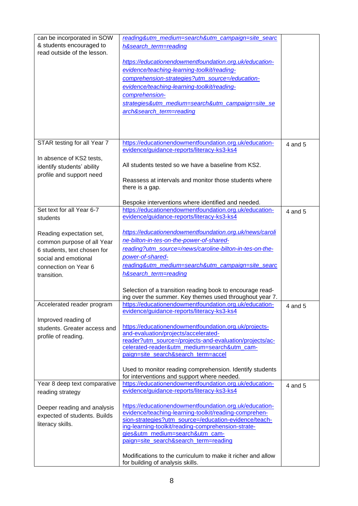| can be incorporated in SOW<br>& students encouraged to<br>read outside of the lesson.                                                                                                                                                                                                                     | reading&utm_medium=search&utm_campaign=site_searc<br>h&search term=reading<br>https://educationendowmentfoundation.org.uk/education-<br>evidence/teaching-learning-toolkit/reading-<br>comprehension-strategies?utm_source=/education-<br>evidence/teaching-learning-toolkit/reading-<br>comprehension-<br>strategies&utm_medium=search&utm_campaign=site_se<br>arch&search_term=reading                                                                                                                                                                                                                                                                                                                                                                                                                                                                                                                                                                              |                    |
|-----------------------------------------------------------------------------------------------------------------------------------------------------------------------------------------------------------------------------------------------------------------------------------------------------------|-----------------------------------------------------------------------------------------------------------------------------------------------------------------------------------------------------------------------------------------------------------------------------------------------------------------------------------------------------------------------------------------------------------------------------------------------------------------------------------------------------------------------------------------------------------------------------------------------------------------------------------------------------------------------------------------------------------------------------------------------------------------------------------------------------------------------------------------------------------------------------------------------------------------------------------------------------------------------|--------------------|
| STAR testing for all Year 7<br>In absence of KS2 tests,<br>identify students' ability<br>profile and support need                                                                                                                                                                                         | https://educationendowmentfoundation.org.uk/education-<br>evidence/guidance-reports/literacy-ks3-ks4<br>All students tested so we have a baseline from KS2.<br>Reassess at intervals and monitor those students where<br>there is a gap.<br>Bespoke interventions where identified and needed.                                                                                                                                                                                                                                                                                                                                                                                                                                                                                                                                                                                                                                                                        | 4 and 5            |
| Set text for all Year 6-7<br>students<br>Reading expectation set,<br>common purpose of all Year<br>6 students, text chosen for<br>social and emotional<br>connection on Year 6<br>transition.<br>Accelerated reader program<br>Improved reading of<br>students. Greater access and<br>profile of reading. | https://educationendowmentfoundation.org.uk/education-<br>evidence/guidance-reports/literacy-ks3-ks4<br>https://educationendowmentfoundation.org.uk/news/caroli<br>ne-bilton-in-tes-on-the-power-of-shared-<br>reading?utm_source=/news/caroline-bilton-in-tes-on-the-<br>power-of-shared-<br>reading&utm medium=search&utm campaign=site searc<br>h&search_term=reading<br>Selection of a transition reading book to encourage read-<br>ing over the summer. Key themes used throughout year 7.<br>https://educationendowmentfoundation.org.uk/education-<br>evidence/guidance-reports/literacy-ks3-ks4<br>https://educationendowmentfoundation.org.uk/projects-<br>and-evaluation/projects/accelerated-<br>reader?utm_source=/projects-and-evaluation/projects/ac-<br>celerated-reader&utm_medium=search&utm_cam-<br>paign=site_search&search_term=accel<br>Used to monitor reading comprehension. Identify students<br>for interventions and support where needed. | 4 and 5<br>4 and 5 |
| Year 8 deep text comparative<br>reading strategy<br>Deeper reading and analysis<br>expected of students. Builds<br>literacy skills.                                                                                                                                                                       | https://educationendowmentfoundation.org.uk/education-<br>evidence/guidance-reports/literacy-ks3-ks4<br>https://educationendowmentfoundation.org.uk/education-<br>evidence/teaching-learning-toolkit/reading-comprehen-<br>sion-strategies?utm_source=/education-evidence/teach-<br>ing-learning-toolkit/reading-comprehension-strate-<br>gies&utm_medium=search&utm_cam-<br>paign=site search&search term=reading<br>Modifications to the curriculum to make it richer and allow<br>for building of analysis skills.                                                                                                                                                                                                                                                                                                                                                                                                                                                 | 4 and 5            |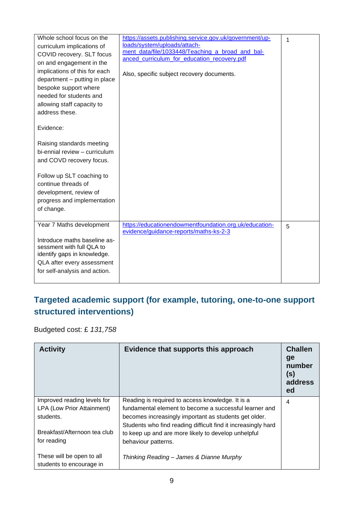| Whole school focus on the<br>curriculum implications of<br>COVID recovery. SLT focus<br>on and engagement in the<br>implications of this for each<br>department - putting in place<br>bespoke support where<br>needed for students and<br>allowing staff capacity to<br>address these.<br>Evidence:<br>Raising standards meeting<br>bi-ennial review - curriculum<br>and COVD recovery focus.<br>Follow up SLT coaching to<br>continue threads of<br>development, review of<br>progress and implementation<br>of change. | https://assets.publishing.service.gov.uk/government/up-<br>loads/system/uploads/attach-<br>ment_data/file/1033448/Teaching_a_broad_and_bal-<br>anced curriculum for education recovery.pdf<br>Also, specific subject recovery documents. | 1 |
|--------------------------------------------------------------------------------------------------------------------------------------------------------------------------------------------------------------------------------------------------------------------------------------------------------------------------------------------------------------------------------------------------------------------------------------------------------------------------------------------------------------------------|------------------------------------------------------------------------------------------------------------------------------------------------------------------------------------------------------------------------------------------|---|
| Year 7 Maths development                                                                                                                                                                                                                                                                                                                                                                                                                                                                                                 | https://educationendowmentfoundation.org.uk/education-<br>evidence/guidance-reports/maths-ks-2-3                                                                                                                                         | 5 |
| Introduce maths baseline as-<br>sessment with full QLA to<br>identify gaps in knowledge.<br>QLA after every assessment<br>for self-analysis and action.                                                                                                                                                                                                                                                                                                                                                                  |                                                                                                                                                                                                                                          |   |

#### **Targeted academic support (for example, tutoring, one-to-one support structured interventions)**

Budgeted cost: £ *131,758*

| <b>Activity</b>              | Evidence that supports this approach                                       | <b>Challen</b><br>ge<br>number<br>(s)<br>address<br>ed |
|------------------------------|----------------------------------------------------------------------------|--------------------------------------------------------|
| Improved reading levels for  | Reading is required to access knowledge. It is a                           | 4                                                      |
| LPA (Low Prior Attainment)   | fundamental element to become a successful learner and                     |                                                        |
| students.                    | becomes increasingly important as students get older.                      |                                                        |
| Breakfast/Afternoon tea club | Students who find reading difficult find it increasingly hard              |                                                        |
| for reading                  | to keep up and are more likely to develop unhelpful<br>behaviour patterns. |                                                        |
|                              |                                                                            |                                                        |
| These will be open to all    | Thinking Reading - James & Dianne Murphy                                   |                                                        |
| students to encourage in     |                                                                            |                                                        |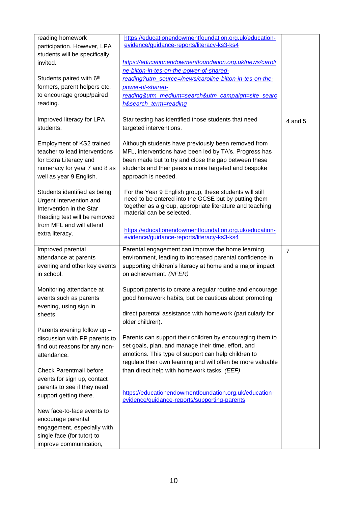| reading homework<br>participation. However, LPA<br>students will be specifically<br>invited.<br>Students paired with 6th<br>formers, parent helpers etc.<br>to encourage group/paired<br>reading. | https://educationendowmentfoundation.org.uk/education-<br>evidence/guidance-reports/literacy-ks3-ks4<br>https://educationendowmentfoundation.org.uk/news/caroli<br>ne-bilton-in-tes-on-the-power-of-shared-<br>reading?utm_source=/news/caroline-bilton-in-tes-on-the-<br>power-of-shared-<br>reading&utm_medium=search&utm_campaign=site_searc<br>h&search_term=reading |                |
|---------------------------------------------------------------------------------------------------------------------------------------------------------------------------------------------------|--------------------------------------------------------------------------------------------------------------------------------------------------------------------------------------------------------------------------------------------------------------------------------------------------------------------------------------------------------------------------|----------------|
| Improved literacy for LPA<br>students.<br>Employment of KS2 trained<br>teacher to lead interventions<br>for Extra Literacy and                                                                    | Star testing has identified those students that need<br>targeted interventions.<br>Although students have previously been removed from<br>MFL, interventions have been led by TA's. Progress has<br>been made but to try and close the gap between these                                                                                                                 | 4 and 5        |
| numeracy for year 7 and 8 as<br>well as year 9 English.<br>Students identified as being                                                                                                           | students and their peers a more targeted and bespoke<br>approach is needed.<br>For the Year 9 English group, these students will still                                                                                                                                                                                                                                   |                |
| Urgent Intervention and<br>Intervention in the Star<br>Reading test will be removed<br>from MFL and will attend                                                                                   | need to be entered into the GCSE but by putting them<br>together as a group, appropriate literature and teaching<br>material can be selected.<br>https://educationendowmentfoundation.org.uk/education-                                                                                                                                                                  |                |
| extra literacy.                                                                                                                                                                                   | evidence/guidance-reports/literacy-ks3-ks4                                                                                                                                                                                                                                                                                                                               |                |
| Improved parental<br>attendance at parents<br>evening and other key events<br>in school.                                                                                                          | Parental engagement can improve the home learning<br>environment, leading to increased parental confidence in<br>supporting children's literacy at home and a major impact<br>on achievement. (NFER)                                                                                                                                                                     | $\overline{7}$ |
| Monitoring attendance at<br>events such as parents<br>evening, using sign in<br>sheets.                                                                                                           | Support parents to create a regular routine and encourage<br>good homework habits, but be cautious about promoting<br>direct parental assistance with homework (particularly for<br>older children).                                                                                                                                                                     |                |
| Parents evening follow up -<br>discussion with PP parents to<br>find out reasons for any non-<br>attendance.                                                                                      | Parents can support their children by encouraging them to<br>set goals, plan, and manage their time, effort, and<br>emotions. This type of support can help children to<br>regulate their own learning and will often be more valuable                                                                                                                                   |                |
| <b>Check Parentmail before</b><br>events for sign up, contact<br>parents to see if they need<br>support getting there.                                                                            | than direct help with homework tasks. (EEF)<br>https://educationendowmentfoundation.org.uk/education-<br>evidence/guidance-reports/supporting-parents                                                                                                                                                                                                                    |                |
| New face-to-face events to<br>encourage parental<br>engagement, especially with<br>single face (for tutor) to<br>improve communication,                                                           |                                                                                                                                                                                                                                                                                                                                                                          |                |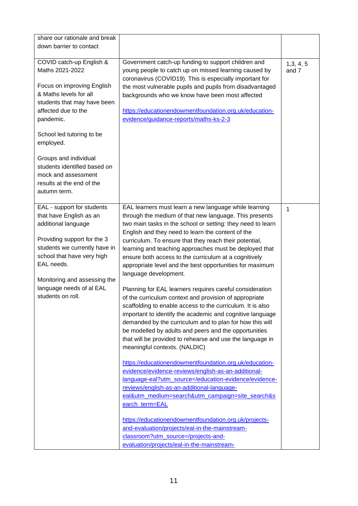| share our rationale and break<br>down barrier to contact                                                                                                                                                                                                                                                                                      |                                                                                                                                                                                                                                                                                                                                                                                                                                                                                                                                                                                                                                                                                                                                                                                                                                                                                                                                                                                                                                                                                                                                                                                                                                                                                                                                                                                                                                                                         |                  |
|-----------------------------------------------------------------------------------------------------------------------------------------------------------------------------------------------------------------------------------------------------------------------------------------------------------------------------------------------|-------------------------------------------------------------------------------------------------------------------------------------------------------------------------------------------------------------------------------------------------------------------------------------------------------------------------------------------------------------------------------------------------------------------------------------------------------------------------------------------------------------------------------------------------------------------------------------------------------------------------------------------------------------------------------------------------------------------------------------------------------------------------------------------------------------------------------------------------------------------------------------------------------------------------------------------------------------------------------------------------------------------------------------------------------------------------------------------------------------------------------------------------------------------------------------------------------------------------------------------------------------------------------------------------------------------------------------------------------------------------------------------------------------------------------------------------------------------------|------------------|
| COVID catch-up English &<br>Maths 2021-2022<br>Focus on improving English<br>& Maths levels for all<br>students that may have been<br>affected due to the<br>pandemic.<br>School led tutoring to be<br>employed.<br>Groups and individual<br>students identified based on<br>mock and assessment<br>results at the end of the<br>autumn term. | Government catch-up funding to support children and<br>young people to catch up on missed learning caused by<br>coronavirus (COVID19). This is especially important for<br>the most vulnerable pupils and pupils from disadvantaged<br>backgrounds who we know have been most affected<br>https://educationendowmentfoundation.org.uk/education-<br>evidence/guidance-reports/maths-ks-2-3                                                                                                                                                                                                                                                                                                                                                                                                                                                                                                                                                                                                                                                                                                                                                                                                                                                                                                                                                                                                                                                                              | 1,3,4,5<br>and 7 |
| EAL - support for students<br>that have English as an<br>additional language<br>Providing support for the 3<br>students we currently have in<br>school that have very high<br>EAL needs.<br>Monitoring and assessing the<br>language needs of al EAL<br>students on roll.                                                                     | EAL learners must learn a new language while learning<br>through the medium of that new language. This presents<br>two main tasks in the school or setting: they need to learn<br>English and they need to learn the content of the<br>curriculum. To ensure that they reach their potential,<br>learning and teaching approaches must be deployed that<br>ensure both access to the curriculum at a cognitively<br>appropriate level and the best opportunities for maximum<br>language development.<br>Planning for EAL learners requires careful consideration<br>of the curriculum context and provision of appropriate<br>scaffolding to enable access to the curriculum. It is also<br>important to identify the academic and cognitive language<br>demanded by the curriculum and to plan for how this will<br>be modelled by adults and peers and the opportunities<br>that will be provided to rehearse and use the language in<br>meaningful contexts. (NALDIC)<br>https://educationendowmentfoundation.org.uk/education-<br>evidence/evidence-reviews/english-as-an-additional-<br>language-eal?utm_source=/education-evidence/evidence-<br>reviews/english-as-an-additional-language-<br>eal&utm_medium=search&utm_campaign=site_search&s<br>earch term=EAL<br>https://educationendowmentfoundation.org.uk/projects-<br>and-evaluation/projects/eal-in-the-mainstream-<br>classroom?utm_source=/projects-and-<br>evaluation/projects/eal-in-the-mainstream- | $\mathbf{1}$     |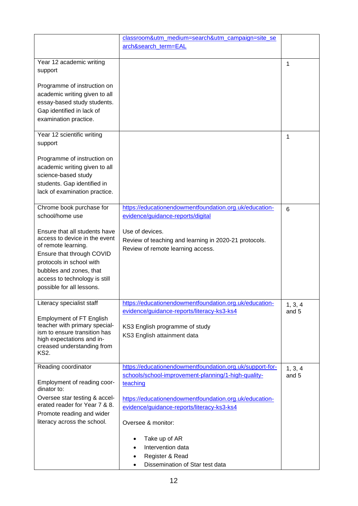|                                                                                                                                                                                                                                         | classroom&utm_medium=search&utm_campaign=site_se<br>arch&search term=EAL                                        |                  |
|-----------------------------------------------------------------------------------------------------------------------------------------------------------------------------------------------------------------------------------------|-----------------------------------------------------------------------------------------------------------------|------------------|
| Year 12 academic writing<br>support                                                                                                                                                                                                     |                                                                                                                 | 1                |
| Programme of instruction on<br>academic writing given to all<br>essay-based study students.<br>Gap identified in lack of<br>examination practice.                                                                                       |                                                                                                                 |                  |
| Year 12 scientific writing<br>support                                                                                                                                                                                                   |                                                                                                                 | 1                |
| Programme of instruction on<br>academic writing given to all<br>science-based study<br>students. Gap identified in<br>lack of examination practice.                                                                                     |                                                                                                                 |                  |
| Chrome book purchase for<br>school/home use                                                                                                                                                                                             | https://educationendowmentfoundation.org.uk/education-<br>evidence/guidance-reports/digital                     | 6                |
| Ensure that all students have<br>access to device in the event<br>of remote learning.<br>Ensure that through COVID<br>protocols in school with<br>bubbles and zones, that<br>access to technology is still<br>possible for all lessons. | Use of devices.<br>Review of teaching and learning in 2020-21 protocols.<br>Review of remote learning access.   |                  |
| Literacy specialist staff                                                                                                                                                                                                               | https://educationendowmentfoundation.org.uk/education-<br>evidence/guidance-reports/literacy-ks3-ks4            | 1, 3, 4<br>and 5 |
| <b>Employment of FT English</b><br>teacher with primary special-<br>ism to ensure transition has<br>high expectations and in-<br>creased understanding from<br><b>KS2.</b>                                                              | KS3 English programme of study<br>KS3 English attainment data                                                   |                  |
| Reading coordinator                                                                                                                                                                                                                     | https://educationendowmentfoundation.org.uk/support-for-<br>schools/school-improvement-planning/1-high-quality- | 1, 3, 4<br>and 5 |
| Employment of reading coor-<br>dinator to:                                                                                                                                                                                              | teaching                                                                                                        |                  |
| Oversee star testing & accel-<br>erated reader for Year 7 & 8.                                                                                                                                                                          | https://educationendowmentfoundation.org.uk/education-<br>evidence/guidance-reports/literacy-ks3-ks4            |                  |
| Promote reading and wider<br>literacy across the school.                                                                                                                                                                                | Oversee & monitor:                                                                                              |                  |
|                                                                                                                                                                                                                                         | Take up of AR<br>Intervention data<br>Register & Read<br>Dissemination of Star test data                        |                  |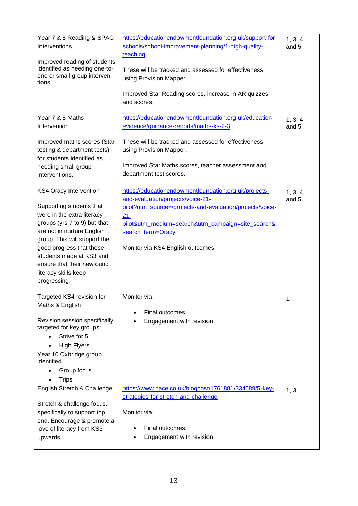| Year 7 & 8 Reading & SPAG                                     | https://educationendowmentfoundation.org.uk/support-for-  | 1, 3, 4          |
|---------------------------------------------------------------|-----------------------------------------------------------|------------------|
| Interventions                                                 | schools/school-improvement-planning/1-high-quality-       | and 5            |
|                                                               | teaching                                                  |                  |
| Improved reading of students                                  |                                                           |                  |
| identified as needing one-to-<br>one or small group interven- | These will be tracked and assessed for effectiveness      |                  |
| tions.                                                        | using Provision Mapper.                                   |                  |
|                                                               |                                                           |                  |
|                                                               | Improved Star Reading scores, increase in AR quizzes      |                  |
|                                                               | and scores.                                               |                  |
| Year 7 & 8 Maths                                              | https://educationendowmentfoundation.org.uk/education-    |                  |
| Intervention                                                  | evidence/guidance-reports/maths-ks-2-3                    | 1, 3, 4<br>and 5 |
|                                                               |                                                           |                  |
| Improved maths scores (Star                                   | These will be tracked and assessed for effectiveness      |                  |
| testing & department tests)                                   | using Provision Mapper.                                   |                  |
| for students identified as                                    |                                                           |                  |
| needing small group                                           | Improved Star Maths scores, teacher assessment and        |                  |
| interventions.                                                | department test scores.                                   |                  |
|                                                               |                                                           |                  |
| <b>KS4 Oracy Intervention</b>                                 | https://educationendowmentfoundation.org.uk/projects-     | 1, 3, 4          |
|                                                               | and-evaluation/projects/voice-21-                         | and 5            |
| Supporting students that                                      | pilot?utm_source=/projects-and-evaluation/projects/voice- |                  |
| were in the extra literacy                                    | $21 -$                                                    |                  |
| groups (yrs 7 to 9) but that                                  | pilot&utm_medium=search&utm_campaign=site_search&         |                  |
| are not in nurture English                                    | search_term=Oracy                                         |                  |
| group. This will support the                                  |                                                           |                  |
| good progress that these                                      | Monitor via KS4 English outcomes.                         |                  |
| students made at KS3 and                                      |                                                           |                  |
| ensure that their newfound                                    |                                                           |                  |
| literacy skills keep                                          |                                                           |                  |
| progressing.                                                  |                                                           |                  |
| Targeted KS4 revision for                                     | Monitor via:                                              | 1                |
| Maths & English                                               |                                                           |                  |
|                                                               | Final outcomes.                                           |                  |
| Revision session specifically                                 | Engagement with revision                                  |                  |
| targeted for key groups:                                      |                                                           |                  |
| Strive for 5                                                  |                                                           |                  |
| <b>High Flyers</b>                                            |                                                           |                  |
| Year 10 Oxbridge group<br>identified                          |                                                           |                  |
| Group focus                                                   |                                                           |                  |
| <b>Trips</b>                                                  |                                                           |                  |
| English Stretch & Challenge                                   | https://www.nace.co.uk/blogpost/1761881/334589/5-key-     | 1, 3             |
|                                                               | strategies-for-stretch-and-challenge                      |                  |
| Stretch & challenge focus,                                    |                                                           |                  |
| specifically to support top                                   | Monitor via:                                              |                  |
| end. Encourage & promote a                                    |                                                           |                  |
| love of literacy from KS3                                     | Final outcomes.                                           |                  |
| upwards.                                                      | Engagement with revision                                  |                  |
|                                                               |                                                           |                  |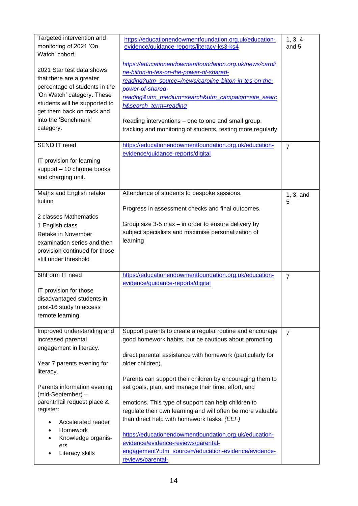| Targeted intervention and<br>monitoring of 2021 'On<br>Watch' cohort                                                                                                                                                     | https://educationendowmentfoundation.org.uk/education-<br>evidence/guidance-reports/literacy-ks3-ks4                                                                                                                                                                                                                                                                                   | 1, 3, 4<br>and 5 |
|--------------------------------------------------------------------------------------------------------------------------------------------------------------------------------------------------------------------------|----------------------------------------------------------------------------------------------------------------------------------------------------------------------------------------------------------------------------------------------------------------------------------------------------------------------------------------------------------------------------------------|------------------|
| 2021 Star test data shows<br>that there are a greater<br>percentage of students in the<br>'On Watch' category. These<br>students will be supported to<br>get them back on track and<br>into the 'Benchmark'<br>category. | https://educationendowmentfoundation.org.uk/news/caroli<br>ne-bilton-in-tes-on-the-power-of-shared-<br>reading?utm_source=/news/caroline-bilton-in-tes-on-the-<br>power-of-shared-<br>reading&utm_medium=search&utm_campaign=site_searc<br>h&search_term=reading<br>Reading interventions – one to one and small group,<br>tracking and monitoring of students, testing more regularly |                  |
| <b>SEND IT need</b><br>IT provision for learning<br>support - 10 chrome books<br>and charging unit.                                                                                                                      | https://educationendowmentfoundation.org.uk/education-<br>evidence/guidance-reports/digital                                                                                                                                                                                                                                                                                            | $\overline{7}$   |
| Maths and English retake<br>tuition                                                                                                                                                                                      | Attendance of students to bespoke sessions.                                                                                                                                                                                                                                                                                                                                            | $1, 3,$ and<br>5 |
| 2 classes Mathematics<br>1 English class<br>Retake in November<br>examination series and then<br>provision continued for those<br>still under threshold                                                                  | Progress in assessment checks and final outcomes.<br>Group size 3-5 max - in order to ensure delivery by<br>subject specialists and maximise personalization of<br>learning                                                                                                                                                                                                            |                  |
| 6thForm IT need<br>IT provision for those<br>disadvantaged students in<br>post-16 study to access<br>remote learning                                                                                                     | https://educationendowmentfoundation.org.uk/education-<br>evidence/guidance-reports/digital                                                                                                                                                                                                                                                                                            | $\overline{7}$   |
| Improved understanding and<br>increased parental<br>engagement in literacy.<br>Year 7 parents evening for<br>literacy.                                                                                                   | Support parents to create a regular routine and encourage<br>good homework habits, but be cautious about promoting<br>direct parental assistance with homework (particularly for<br>older children).<br>Parents can support their children by encouraging them to                                                                                                                      | $\overline{7}$   |
| Parents information evening<br>(mid-September) -<br>parentmail request place &<br>register:<br>Accelerated reader<br>Homework<br>$\bullet$<br>Knowledge organis-<br>$\bullet$<br>ers<br>Literacy skills                  | set goals, plan, and manage their time, effort, and<br>emotions. This type of support can help children to<br>regulate their own learning and will often be more valuable<br>than direct help with homework tasks. (EEF)<br>https://educationendowmentfoundation.org.uk/education-<br>evidence/evidence-reviews/parental-<br>engagement?utm_source=/education-evidence/evidence-       |                  |
|                                                                                                                                                                                                                          | reviews/parental-                                                                                                                                                                                                                                                                                                                                                                      |                  |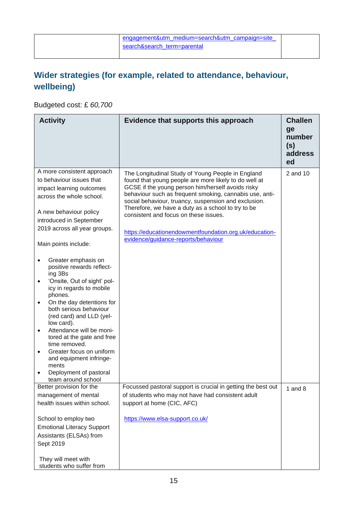|                             | engagement&utm medium=search&utm campaign=site |
|-----------------------------|------------------------------------------------|
| search&search term=parental |                                                |
|                             |                                                |

### **Wider strategies (for example, related to attendance, behaviour, wellbeing)**

Budgeted cost: £ *60,700*

| <b>Activity</b>                                                                                                                                                                                                                                                                                                                                                                                                                                                                   | Evidence that supports this approach                                                                                                                                                                                                                                                                                                                                                                                                                                               | <b>Challen</b><br>ge<br>number<br>(s)<br>address<br>ed |
|-----------------------------------------------------------------------------------------------------------------------------------------------------------------------------------------------------------------------------------------------------------------------------------------------------------------------------------------------------------------------------------------------------------------------------------------------------------------------------------|------------------------------------------------------------------------------------------------------------------------------------------------------------------------------------------------------------------------------------------------------------------------------------------------------------------------------------------------------------------------------------------------------------------------------------------------------------------------------------|--------------------------------------------------------|
| A more consistent approach<br>to behaviour issues that<br>impact learning outcomes<br>across the whole school.<br>A new behaviour policy<br>introduced in September<br>2019 across all year groups.                                                                                                                                                                                                                                                                               | The Longitudinal Study of Young People in England<br>found that young people are more likely to do well at<br>GCSE if the young person him/herself avoids risky<br>behaviour such as frequent smoking, cannabis use, anti-<br>social behaviour, truancy, suspension and exclusion.<br>Therefore, we have a duty as a school to try to be<br>consistent and focus on these issues.<br>https://educationendowmentfoundation.org.uk/education-<br>evidence/guidance-reports/behaviour | 2 and 10                                               |
| Main points include:                                                                                                                                                                                                                                                                                                                                                                                                                                                              |                                                                                                                                                                                                                                                                                                                                                                                                                                                                                    |                                                        |
| Greater emphasis on<br>$\bullet$<br>positive rewards reflect-<br>ing 3Bs<br>'Onsite, Out of sight' pol-<br>$\bullet$<br>icy in regards to mobile<br>phones.<br>On the day detentions for<br>$\bullet$<br>both serious behaviour<br>(red card) and LLD (yel-<br>low card).<br>Attendance will be moni-<br>$\bullet$<br>tored at the gate and free<br>time removed.<br>Greater focus on uniform<br>and equipment infringe-<br>ments<br>Deployment of pastoral<br>team around school |                                                                                                                                                                                                                                                                                                                                                                                                                                                                                    |                                                        |
| Better provision for the<br>management of mental                                                                                                                                                                                                                                                                                                                                                                                                                                  | Focussed pastoral support is crucial in getting the best out<br>of students who may not have had consistent adult                                                                                                                                                                                                                                                                                                                                                                  | 1 and $8$                                              |
| health issues within school.                                                                                                                                                                                                                                                                                                                                                                                                                                                      | support at home (CIC, AFC)                                                                                                                                                                                                                                                                                                                                                                                                                                                         |                                                        |
| School to employ two<br><b>Emotional Literacy Support</b><br>Assistants (ELSAs) from<br>Sept 2019<br>They will meet with<br>students who suffer from                                                                                                                                                                                                                                                                                                                              | https://www.elsa-support.co.uk/                                                                                                                                                                                                                                                                                                                                                                                                                                                    |                                                        |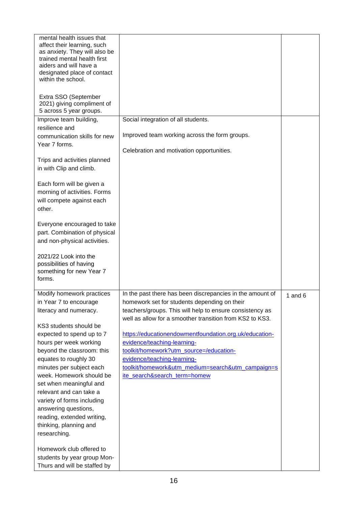| mental health issues that<br>affect their learning, such<br>as anxiety. They will also be<br>trained mental health first<br>aiders and will have a<br>designated place of contact<br>within the school. |                                                                                                                      |           |
|---------------------------------------------------------------------------------------------------------------------------------------------------------------------------------------------------------|----------------------------------------------------------------------------------------------------------------------|-----------|
| Extra SSO (September<br>2021) giving compliment of<br>5 across 5 year groups.                                                                                                                           |                                                                                                                      |           |
| Improve team building,                                                                                                                                                                                  | Social integration of all students.                                                                                  |           |
| resilience and<br>communication skills for new<br>Year 7 forms.                                                                                                                                         | Improved team working across the form groups.                                                                        |           |
|                                                                                                                                                                                                         | Celebration and motivation opportunities.                                                                            |           |
| Trips and activities planned<br>in with Clip and climb.                                                                                                                                                 |                                                                                                                      |           |
| Each form will be given a<br>morning of activities. Forms<br>will compete against each<br>other.                                                                                                        |                                                                                                                      |           |
| Everyone encouraged to take<br>part. Combination of physical<br>and non-physical activities.                                                                                                            |                                                                                                                      |           |
| 2021/22 Look into the<br>possibilities of having<br>something for new Year 7<br>forms.                                                                                                                  |                                                                                                                      |           |
| Modify homework practices                                                                                                                                                                               | In the past there has been discrepancies in the amount of                                                            | 1 and $6$ |
| in Year 7 to encourage                                                                                                                                                                                  | homework set for students depending on their                                                                         |           |
| literacy and numeracy.                                                                                                                                                                                  | teachers/groups. This will help to ensure consistency as<br>well as allow for a smoother transition from KS2 to KS3. |           |
| KS3 students should be                                                                                                                                                                                  |                                                                                                                      |           |
| expected to spend up to 7                                                                                                                                                                               | https://educationendowmentfoundation.org.uk/education-                                                               |           |
| hours per week working<br>beyond the classroom: this                                                                                                                                                    | evidence/teaching-learning-<br>toolkit/homework?utm_source=/education-                                               |           |
| equates to roughly 30                                                                                                                                                                                   | evidence/teaching-learning-                                                                                          |           |
| minutes per subject each                                                                                                                                                                                | toolkit/homework&utm_medium=search&utm_campaign=s                                                                    |           |
| week. Homework should be                                                                                                                                                                                | ite_search&search_term=homew                                                                                         |           |
| set when meaningful and                                                                                                                                                                                 |                                                                                                                      |           |
| relevant and can take a                                                                                                                                                                                 |                                                                                                                      |           |
| variety of forms including                                                                                                                                                                              |                                                                                                                      |           |
| answering questions,<br>reading, extended writing,                                                                                                                                                      |                                                                                                                      |           |
| thinking, planning and                                                                                                                                                                                  |                                                                                                                      |           |
| researching.                                                                                                                                                                                            |                                                                                                                      |           |
| Homework club offered to                                                                                                                                                                                |                                                                                                                      |           |
| students by year group Mon-                                                                                                                                                                             |                                                                                                                      |           |
| Thurs and will be staffed by                                                                                                                                                                            |                                                                                                                      |           |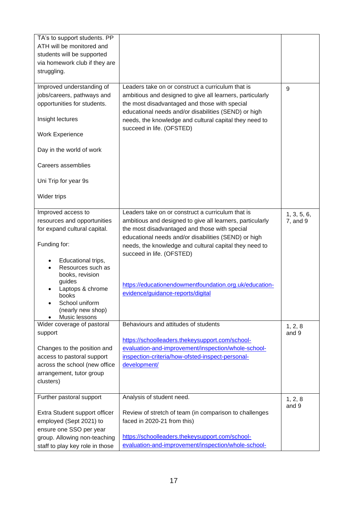| TA's to support students. PP<br>ATH will be monitored and<br>students will be supported<br>via homework club if they are<br>struggling.                                                                                                                        |                                                                                                                                                                                                                                                                                                                                                                                                               |                         |
|----------------------------------------------------------------------------------------------------------------------------------------------------------------------------------------------------------------------------------------------------------------|---------------------------------------------------------------------------------------------------------------------------------------------------------------------------------------------------------------------------------------------------------------------------------------------------------------------------------------------------------------------------------------------------------------|-------------------------|
| Improved understanding of<br>jobs/careers, pathways and<br>opportunities for students.<br>Insight lectures<br><b>Work Experience</b><br>Day in the world of work<br>Careers assemblies<br>Uni Trip for year 9s<br>Wider trips                                  | Leaders take on or construct a curriculum that is<br>ambitious and designed to give all learners, particularly<br>the most disadvantaged and those with special<br>educational needs and/or disabilities (SEND) or high<br>needs, the knowledge and cultural capital they need to<br>succeed in life. (OFSTED)                                                                                                | 9                       |
| Improved access to<br>resources and opportunities<br>for expand cultural capital.<br>Funding for:<br>Educational trips,<br>Resources such as<br>books, revision<br>guides<br>Laptops & chrome<br>books<br>School uniform<br>(nearly new shop)<br>Music lessons | Leaders take on or construct a curriculum that is<br>ambitious and designed to give all learners, particularly<br>the most disadvantaged and those with special<br>educational needs and/or disabilities (SEND) or high<br>needs, the knowledge and cultural capital they need to<br>succeed in life. (OFSTED)<br>https://educationendowmentfoundation.org.uk/education-<br>evidence/guidance-reports/digital | 1, 3, 5, 6,<br>7, and 9 |
| Wider coverage of pastoral<br>support<br>Changes to the position and<br>access to pastoral support<br>across the school (new office<br>arrangement, tutor group<br>clusters)                                                                                   | Behaviours and attitudes of students<br>https://schoolleaders.thekeysupport.com/school-<br>evaluation-and-improvement/inspection/whole-school-<br>inspection-criteria/how-ofsted-inspect-personal-<br>development/                                                                                                                                                                                            | 1, 2, 8<br>and 9        |
| Further pastoral support<br>Extra Student support officer<br>employed (Sept 2021) to<br>ensure one SSO per year<br>group. Allowing non-teaching<br>staff to play key role in those                                                                             | Analysis of student need.<br>Review of stretch of team (in comparison to challenges<br>faced in 2020-21 from this)<br>https://schoolleaders.thekeysupport.com/school-<br>evaluation-and-improvement/inspection/whole-school-                                                                                                                                                                                  | 1, 2, 8<br>and 9        |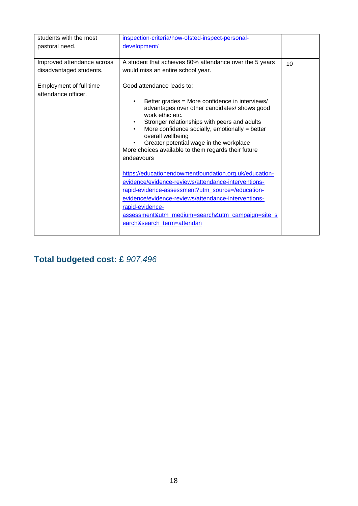| students with the most                         | inspection-criteria/how-ofsted-inspect-personal-                                                                                                                                                                                                                                                                                                                                                                                                  |    |
|------------------------------------------------|---------------------------------------------------------------------------------------------------------------------------------------------------------------------------------------------------------------------------------------------------------------------------------------------------------------------------------------------------------------------------------------------------------------------------------------------------|----|
| pastoral need.                                 | development/                                                                                                                                                                                                                                                                                                                                                                                                                                      |    |
|                                                |                                                                                                                                                                                                                                                                                                                                                                                                                                                   |    |
| Improved attendance across                     | A student that achieves 80% attendance over the 5 years                                                                                                                                                                                                                                                                                                                                                                                           | 10 |
| disadvantaged students.                        | would miss an entire school year.                                                                                                                                                                                                                                                                                                                                                                                                                 |    |
| Employment of full time<br>attendance officer. | Good attendance leads to;<br>Better grades = More confidence in interviews/<br>advantages over other candidates/ shows good<br>work ethic etc.<br>Stronger relationships with peers and adults<br>More confidence socially, emotionally $=$ better<br>overall wellbeing<br>Greater potential wage in the workplace<br>More choices available to them regards their future<br>endeavours<br>https://educationendowmentfoundation.org.uk/education- |    |
|                                                | evidence/evidence-reviews/attendance-interventions-                                                                                                                                                                                                                                                                                                                                                                                               |    |
|                                                | rapid-evidence-assessment?utm_source=/education-                                                                                                                                                                                                                                                                                                                                                                                                  |    |
|                                                | evidence/evidence-reviews/attendance-interventions-                                                                                                                                                                                                                                                                                                                                                                                               |    |
|                                                | rapid-evidence-                                                                                                                                                                                                                                                                                                                                                                                                                                   |    |
|                                                | assessment&utm_medium=search&utm_campaign=site_s                                                                                                                                                                                                                                                                                                                                                                                                  |    |
|                                                | earch&search term=attendan                                                                                                                                                                                                                                                                                                                                                                                                                        |    |
|                                                |                                                                                                                                                                                                                                                                                                                                                                                                                                                   |    |

## **Total budgeted cost: £** *907,496*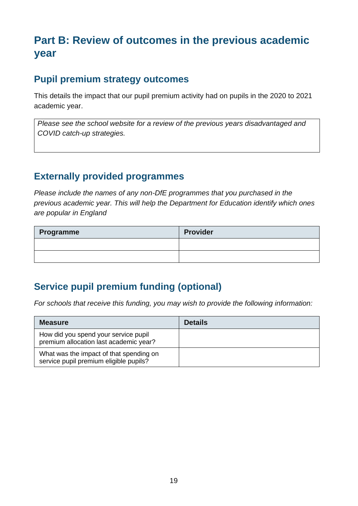## **Part B: Review of outcomes in the previous academic year**

#### **Pupil premium strategy outcomes**

This details the impact that our pupil premium activity had on pupils in the 2020 to 2021 academic year.

*Please see the school website for a review of the previous years disadvantaged and COVID catch-up strategies.*

#### **Externally provided programmes**

*Please include the names of any non-DfE programmes that you purchased in the previous academic year. This will help the Department for Education identify which ones are popular in England*

| Programme | <b>Provider</b> |
|-----------|-----------------|
|           |                 |
|           |                 |

## **Service pupil premium funding (optional)**

*For schools that receive this funding, you may wish to provide the following information:* 

| <b>Measure</b>                                                                    | <b>Details</b> |
|-----------------------------------------------------------------------------------|----------------|
| How did you spend your service pupil<br>premium allocation last academic year?    |                |
| What was the impact of that spending on<br>service pupil premium eligible pupils? |                |